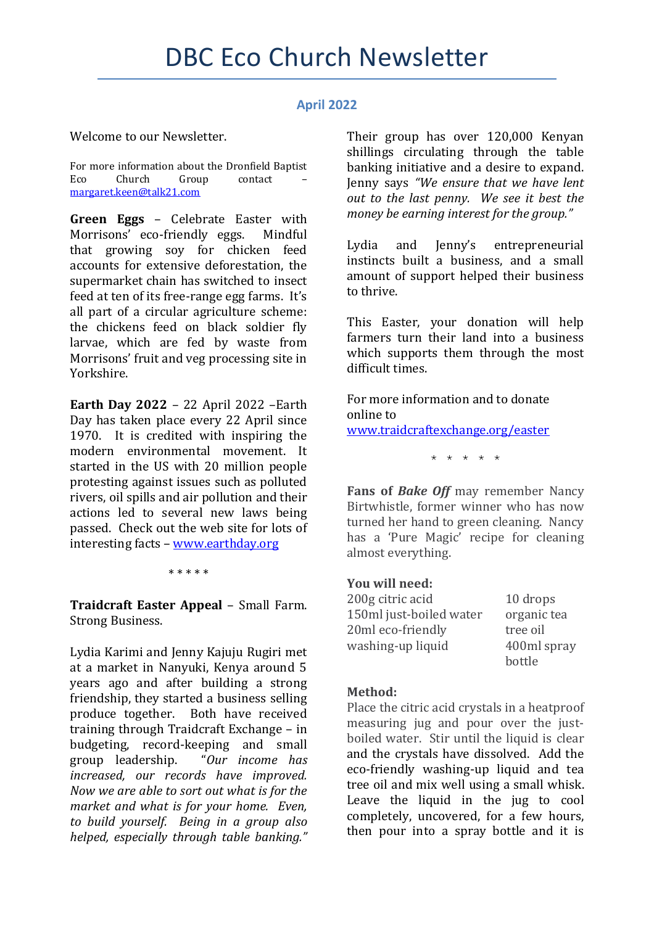## **April 2022**

Welcome to our Newsletter.

For more information about the Dronfield Baptist Eco Church Group contact [margaret.keen@talk21.com](mailto:margaret.keen@talk21.com)

**Green Eggs** – Celebrate Easter with Morrisons' eco-friendly eggs. Mindful that growing soy for chicken feed accounts for extensive deforestation, the supermarket chain has switched to insect feed at ten of its free-range egg farms. It's all part of a circular agriculture scheme: the chickens feed on black soldier fly larvae, which are fed by waste from Morrisons' fruit and veg processing site in Yorkshire.

**Earth Day 2022** – 22 April 2022 –Earth Day has taken place every 22 April since 1970. It is credited with inspiring the modern environmental movement. It started in the US with 20 million people protesting against issues such as polluted rivers, oil spills and air pollution and their actions led to several new laws being passed. Check out the web site for lots of interesting facts – [www.earthday.org](http://www.earthday.org/)

\* \* \* \* \*

**Traidcraft Easter Appeal** – Small Farm. Strong Business.

Lydia Karimi and Jenny Kajuju Rugiri met at a market in Nanyuki, Kenya around 5 years ago and after building a strong friendship, they started a business selling produce together. Both have received training through Traidcraft Exchange – in budgeting, record-keeping and small group leadership. "*Our income has increased, our records have improved. Now we are able to sort out what is for the market and what is for your home. Even, to build yourself. Being in a group also helped, especially through table banking."*

Their group has over 120,000 Kenyan shillings circulating through the table banking initiative and a desire to expand. Jenny says *"We ensure that we have lent out to the last penny. We see it best the money be earning interest for the group."*

Lydia and Jenny's entrepreneurial instincts built a business, and a small amount of support helped their business to thrive.

This Easter, your donation will help farmers turn their land into a business which supports them through the most difficult times.

For more information and to donate online to [www.traidcraftexchange.org/easter](http://www.traidcraftexchange.org/easter)

\* \* \* \* \*

**Fans of** *Bake Off* may remember Nancy Birtwhistle, former winner who has now turned her hand to green cleaning. Nancy has a 'Pure Magic' recipe for cleaning almost everything.

## **You will need:**

| 200g citric acid        | 10 drops    |
|-------------------------|-------------|
| 150ml just-boiled water | organic tea |
| 20ml eco-friendly       | tree oil    |
| washing-up liquid       | 400ml spray |
|                         | bottle      |

## **Method:**

Place the citric acid crystals in a heatproof measuring jug and pour over the justboiled water. Stir until the liquid is clear and the crystals have dissolved. Add the eco-friendly washing-up liquid and tea tree oil and mix well using a small whisk. Leave the liquid in the jug to cool completely, uncovered, for a few hours, then pour into a spray bottle and it is